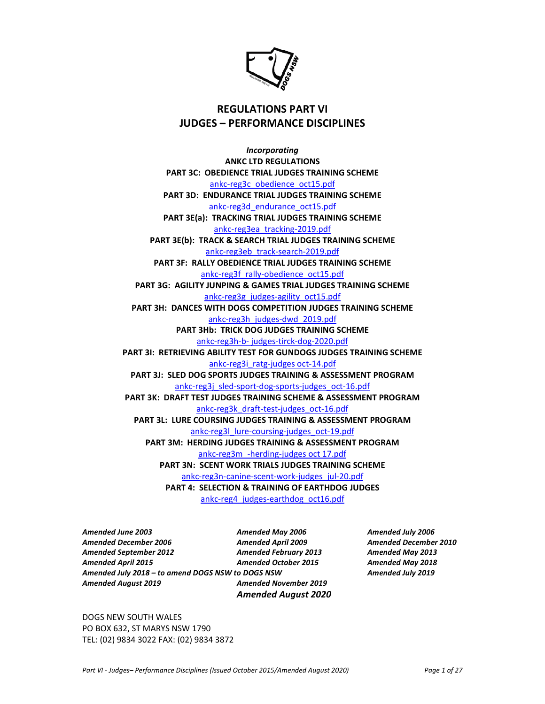

# **REGULATIONS PART VI JUDGES – PERFORMANCE DISCIPLINES**

*Incorporating*  **ANKC LTD REGULATIONS PART 3C: OBEDIENCE TRIAL JUDGES TRAINING SCHEME**  ankc-reg3c\_obedience\_oct15.pdf **PART 3D: ENDURANCE TRIAL JUDGES TRAINING SCHEME**  ankc-reg3d\_endurance\_oct15.pdf **PART 3E(a): TRACKING TRIAL JUDGES TRAINING SCHEME**  ankc-reg3ea\_tracking-2019.pdf **PART 3E(b): TRACK & SEARCH TRIAL JUDGES TRAINING SCHEME**  ankc-reg3eb\_track-search-2019.pdf **PART 3F: RALLY OBEDIENCE TRIAL JUDGES TRAINING SCHEME**  ankc-reg3f\_rally-obedience\_oct15.pdf **PART 3G: AGILITY JUNPING & GAMES TRIAL JUDGES TRAINING SCHEME**  ankc-reg3g\_judges-agility\_oct15.pdf **PART 3H: DANCES WITH DOGS COMPETITION JUDGES TRAINING SCHEME**  ankc-reg3h\_judges-dwd\_2019.pdf **PART 3Hb: TRICK DOG JUDGES TRAINING SCHEME**  ankc-reg3h-b- judges-tirck-dog-2020.pdf **PART 3I: RETRIEVING ABILITY TEST FOR GUNDOGS JUDGES TRAINING SCHEME**  ankc-reg3i\_ratg-judges oct-14.pdf **PART 3J: SLED DOG SPORTS JUDGES TRAINING & ASSESSMENT PROGRAM**  ankc-reg3j\_sled-sport-dog-sports-judges\_oct-16.pdf **PART 3K: DRAFT TEST JUDGES TRAINING SCHEME & ASSESSMENT PROGRAM**  ankc-reg3k\_draft-test-judges\_oct-16.pdf **PART 3L: LURE COURSING JUDGES TRAINING & ASSESSMENT PROGRAM**  ankc-reg3l\_lure-coursing-judges\_oct-19.pdf **PART 3M: HERDING JUDGES TRAINING & ASSESSMENT PROGRAM**  ankc-reg3m\_-herding-judges oct 17.pdf **PART 3N: SCENT WORK TRIALS JUDGES TRAINING SCHEME**  ankc-reg3n-canine-scent-work-judges\_jul-20.pdf **PART 4: SELECTION & TRAINING OF EARTHDOG JUDGES**  ankc-reg4\_judges-earthdog\_oct16.pdf

*Amended June 2003 Amended May 2006 Amended July 2006 Amended December 2006 Amended April 2009 Amended December 2010 Amended September 2012 Amended February 2013 Amended May 2013 Amended April 2015 Amended October 2015 Amended May 2018 Amended July 2018 – to amend DOGS NSW to DOGS NSW Amended July 2019 Amended August 2019 Amended November 2019* 

*Amended August 2020* 

DOGS NEW SOUTH WALES PO BOX 632, ST MARYS NSW 1790 TEL: (02) 9834 3022 FAX: (02) 9834 3872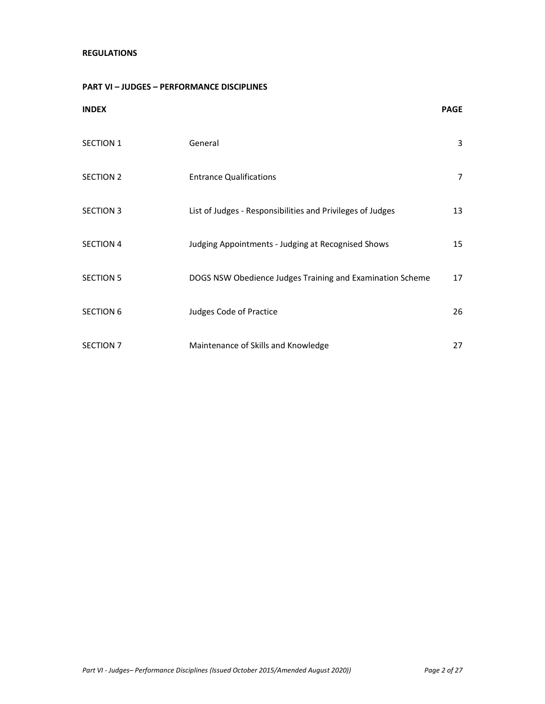## **REGULATIONS**

## **PART VI – JUDGES – PERFORMANCE DISCIPLINES**

| <b>INDEX</b>     |                                                            | <b>PAGE</b> |
|------------------|------------------------------------------------------------|-------------|
| <b>SECTION 1</b> | General                                                    | 3           |
| <b>SECTION 2</b> | <b>Entrance Qualifications</b>                             | 7           |
| <b>SECTION 3</b> | List of Judges - Responsibilities and Privileges of Judges | 13          |
| <b>SECTION 4</b> | Judging Appointments - Judging at Recognised Shows         | 15          |
| <b>SECTION 5</b> | DOGS NSW Obedience Judges Training and Examination Scheme  | 17          |
| <b>SECTION 6</b> | Judges Code of Practice                                    | 26          |
| SECTION 7        | Maintenance of Skills and Knowledge                        | 27          |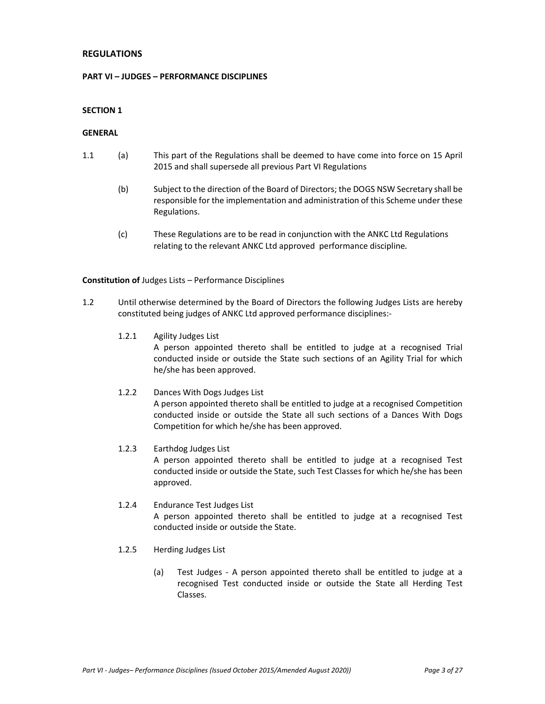## **REGULATIONS**

#### **PART VI – JUDGES – PERFORMANCE DISCIPLINES**

### **SECTION 1**

## **GENERAL**

- 1.1 (a) This part of the Regulations shall be deemed to have come into force on 15 April 2015 and shall supersede all previous Part VI Regulations
	- (b) Subject to the direction of the Board of Directors; the DOGS NSW Secretary shall be responsible for the implementation and administration of this Scheme under these Regulations.
	- (c) These Regulations are to be read in conjunction with the ANKC Ltd Regulations relating to the relevant ANKC Ltd approved performance discipline*.*

#### **Constitution of** Judges Lists – Performance Disciplines

- 1.2 Until otherwise determined by the Board of Directors the following Judges Lists are hereby constituted being judges of ANKC Ltd approved performance disciplines:-
	- 1.2.1 Agility Judges List A person appointed thereto shall be entitled to judge at a recognised Trial conducted inside or outside the State such sections of an Agility Trial for which he/she has been approved.
	- 1.2.2 Dances With Dogs Judges List A person appointed thereto shall be entitled to judge at a recognised Competition conducted inside or outside the State all such sections of a Dances With Dogs Competition for which he/she has been approved.
	- 1.2.3 Earthdog Judges List A person appointed thereto shall be entitled to judge at a recognised Test conducted inside or outside the State, such Test Classes for which he/she has been approved.
	- 1.2.4 Endurance Test Judges List A person appointed thereto shall be entitled to judge at a recognised Test conducted inside or outside the State.
	- 1.2.5 Herding Judges List
		- (a) Test Judges A person appointed thereto shall be entitled to judge at a recognised Test conducted inside or outside the State all Herding Test Classes.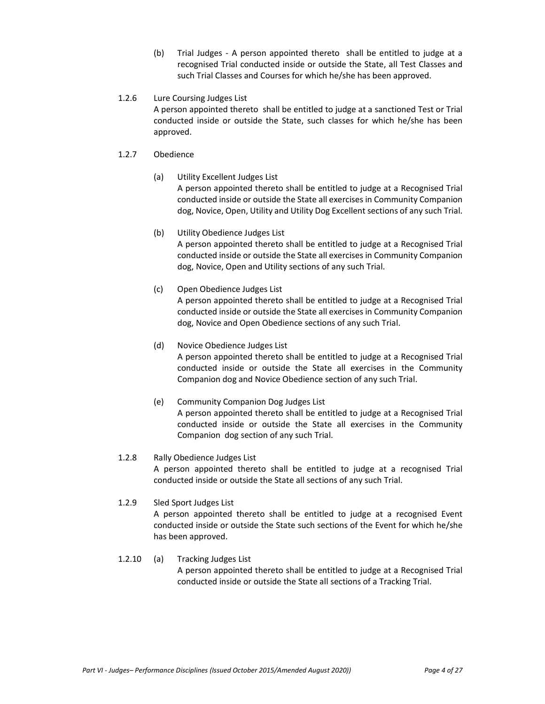(b) Trial Judges - A person appointed thereto shall be entitled to judge at a recognised Trial conducted inside or outside the State, all Test Classes and such Trial Classes and Courses for which he/she has been approved.

## 1.2.6 Lure Coursing Judges List

A person appointed thereto shall be entitled to judge at a sanctioned Test or Trial conducted inside or outside the State, such classes for which he/she has been approved.

## 1.2.7 Obedience

(a) Utility Excellent Judges List

A person appointed thereto shall be entitled to judge at a Recognised Trial conducted inside or outside the State all exercises in Community Companion dog, Novice, Open, Utility and Utility Dog Excellent sections of any such Trial.

- (b) Utility Obedience Judges List A person appointed thereto shall be entitled to judge at a Recognised Trial conducted inside or outside the State all exercises in Community Companion dog, Novice, Open and Utility sections of any such Trial.
- (c) Open Obedience Judges List A person appointed thereto shall be entitled to judge at a Recognised Trial conducted inside or outside the State all exercises in Community Companion dog, Novice and Open Obedience sections of any such Trial.
- (d) Novice Obedience Judges List A person appointed thereto shall be entitled to judge at a Recognised Trial conducted inside or outside the State all exercises in the Community Companion dog and Novice Obedience section of any such Trial.
- (e) Community Companion Dog Judges List A person appointed thereto shall be entitled to judge at a Recognised Trial conducted inside or outside the State all exercises in the Community Companion dog section of any such Trial.

## 1.2.8 Rally Obedience Judges List

A person appointed thereto shall be entitled to judge at a recognised Trial conducted inside or outside the State all sections of any such Trial.

## 1.2.9 Sled Sport Judges List

A person appointed thereto shall be entitled to judge at a recognised Event conducted inside or outside the State such sections of the Event for which he/she has been approved.

1.2.10 (a) Tracking Judges List A person appointed thereto shall be entitled to judge at a Recognised Trial conducted inside or outside the State all sections of a Tracking Trial.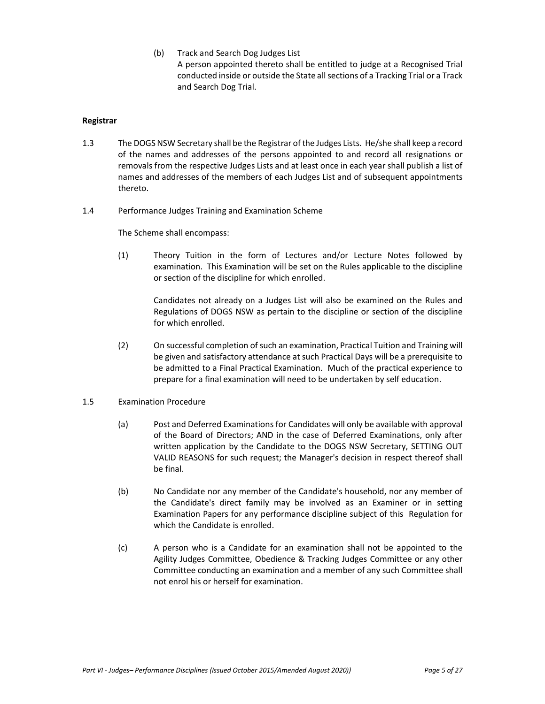(b) Track and Search Dog Judges List A person appointed thereto shall be entitled to judge at a Recognised Trial conducted inside or outside the State all sections of a Tracking Trial or a Track and Search Dog Trial.

#### **Registrar**

- 1.3 The DOGS NSW Secretary shall be the Registrar of the Judges Lists. He/she shall keep a record of the names and addresses of the persons appointed to and record all resignations or removals from the respective Judges Lists and at least once in each year shall publish a list of names and addresses of the members of each Judges List and of subsequent appointments thereto.
- 1.4 Performance Judges Training and Examination Scheme

The Scheme shall encompass:

(1) Theory Tuition in the form of Lectures and/or Lecture Notes followed by examination. This Examination will be set on the Rules applicable to the discipline or section of the discipline for which enrolled.

> Candidates not already on a Judges List will also be examined on the Rules and Regulations of DOGS NSW as pertain to the discipline or section of the discipline for which enrolled.

- (2) On successful completion of such an examination, Practical Tuition and Training will be given and satisfactory attendance at such Practical Days will be a prerequisite to be admitted to a Final Practical Examination. Much of the practical experience to prepare for a final examination will need to be undertaken by self education.
- 1.5 Examination Procedure
	- (a) Post and Deferred Examinations for Candidates will only be available with approval of the Board of Directors; AND in the case of Deferred Examinations, only after written application by the Candidate to the DOGS NSW Secretary, SETTING OUT VALID REASONS for such request; the Manager's decision in respect thereof shall be final.
	- (b) No Candidate nor any member of the Candidate's household, nor any member of the Candidate's direct family may be involved as an Examiner or in setting Examination Papers for any performance discipline subject of this Regulation for which the Candidate is enrolled.
	- (c) A person who is a Candidate for an examination shall not be appointed to the Agility Judges Committee, Obedience & Tracking Judges Committee or any other Committee conducting an examination and a member of any such Committee shall not enrol his or herself for examination.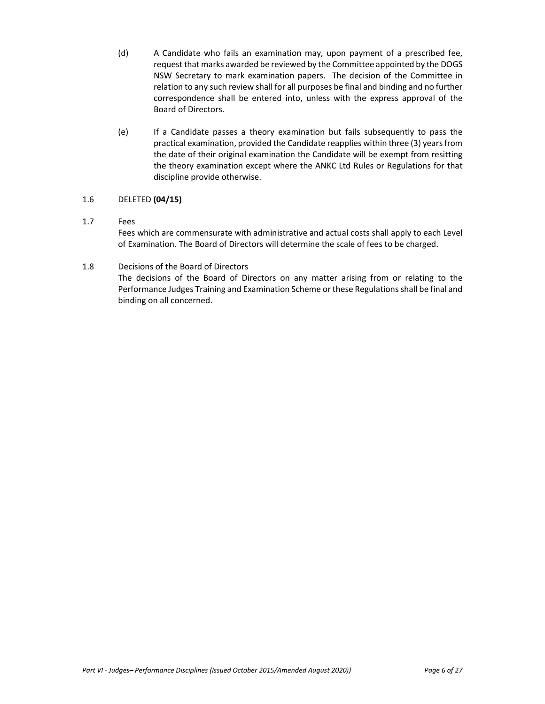- (d) A Candidate who fails an examination may, upon payment of a prescribed fee, request that marks awarded be reviewed by the Committee appointed by the DOGS NSW Secretary to mark examination papers. The decision of the Committee in relation to any such review shall for all purposes be final and binding and no further correspondence shall be entered into, unless with the express approval of the Board of Directors.
- (e) If a Candidate passes a theory examination but fails subsequently to pass the practical examination, provided the Candidate reapplies within three (3) years from the date of their original examination the Candidate will be exempt from resitting the theory examination except where the ANKC Ltd Rules or Regulations for that discipline provide otherwise.

## 1.6 DELETED **(04/15)**

## 1.7 Fees

Fees which are commensurate with administrative and actual costs shall apply to each Level of Examination. The Board of Directors will determine the scale of fees to be charged.

## 1.8 Decisions of the Board of Directors

The decisions of the Board of Directors on any matter arising from or relating to the Performance Judges Training and Examination Scheme or these Regulations shall be final and binding on all concerned.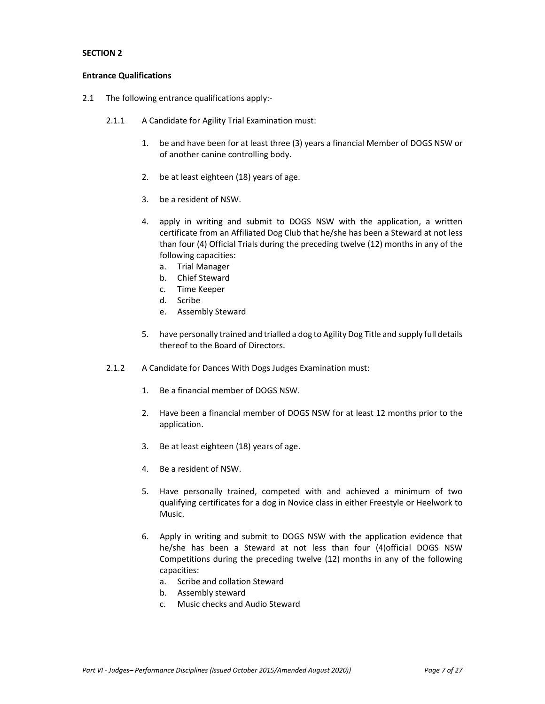#### **Entrance Qualifications**

- 2.1 The following entrance qualifications apply:-
	- 2.1.1 A Candidate for Agility Trial Examination must:
		- 1. be and have been for at least three (3) years a financial Member of DOGS NSW or of another canine controlling body.
		- 2. be at least eighteen (18) years of age.
		- 3. be a resident of NSW.
		- 4. apply in writing and submit to DOGS NSW with the application, a written certificate from an Affiliated Dog Club that he/she has been a Steward at not less than four (4) Official Trials during the preceding twelve (12) months in any of the following capacities:
			- a. Trial Manager
			- b. Chief Steward
			- c. Time Keeper
			- d. Scribe
			- e. Assembly Steward
		- 5. have personally trained and trialled a dog to Agility Dog Title and supply full details thereof to the Board of Directors.
	- 2.1.2 A Candidate for Dances With Dogs Judges Examination must:
		- 1. Be a financial member of DOGS NSW.
		- 2. Have been a financial member of DOGS NSW for at least 12 months prior to the application.
		- 3. Be at least eighteen (18) years of age.
		- 4. Be a resident of NSW.
		- 5. Have personally trained, competed with and achieved a minimum of two qualifying certificates for a dog in Novice class in either Freestyle or Heelwork to Music.
		- 6. Apply in writing and submit to DOGS NSW with the application evidence that he/she has been a Steward at not less than four (4)official DOGS NSW Competitions during the preceding twelve (12) months in any of the following capacities:
			- a. Scribe and collation Steward
			- b. Assembly steward
			- c. Music checks and Audio Steward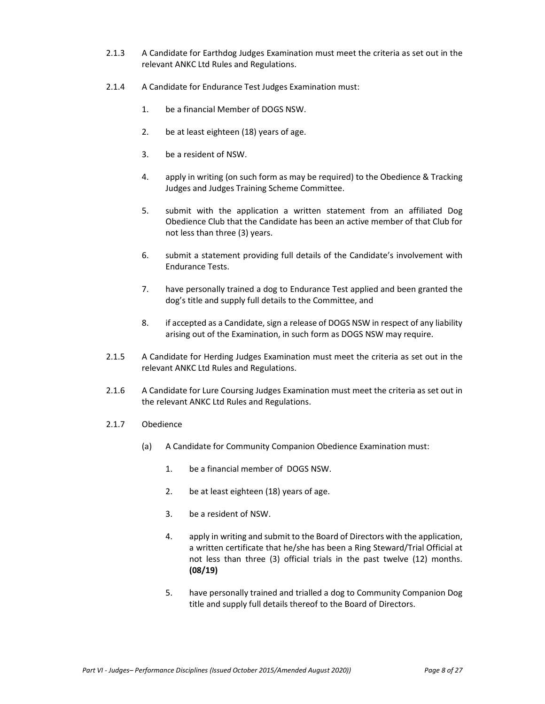- 2.1.3 A Candidate for Earthdog Judges Examination must meet the criteria as set out in the relevant ANKC Ltd Rules and Regulations.
- 2.1.4 A Candidate for Endurance Test Judges Examination must:
	- 1. be a financial Member of DOGS NSW.
	- 2. be at least eighteen (18) years of age.
	- 3. be a resident of NSW.
	- 4. apply in writing (on such form as may be required) to the Obedience & Tracking Judges and Judges Training Scheme Committee.
	- 5. submit with the application a written statement from an affiliated Dog Obedience Club that the Candidate has been an active member of that Club for not less than three (3) years.
	- 6. submit a statement providing full details of the Candidate's involvement with Endurance Tests.
	- 7. have personally trained a dog to Endurance Test applied and been granted the dog's title and supply full details to the Committee, and
	- 8. if accepted as a Candidate, sign a release of DOGS NSW in respect of any liability arising out of the Examination, in such form as DOGS NSW may require.
- 2.1.5 A Candidate for Herding Judges Examination must meet the criteria as set out in the relevant ANKC Ltd Rules and Regulations.
- 2.1.6 A Candidate for Lure Coursing Judges Examination must meet the criteria as set out in the relevant ANKC Ltd Rules and Regulations.
- 2.1.7 Obedience
	- (a) A Candidate for Community Companion Obedience Examination must:
		- 1. be a financial member of DOGS NSW.
		- 2. be at least eighteen (18) years of age.
		- 3. be a resident of NSW.
		- 4. apply in writing and submit to the Board of Directors with the application, a written certificate that he/she has been a Ring Steward/Trial Official at not less than three (3) official trials in the past twelve (12) months. **(08/19)**
		- 5. have personally trained and trialled a dog to Community Companion Dog title and supply full details thereof to the Board of Directors.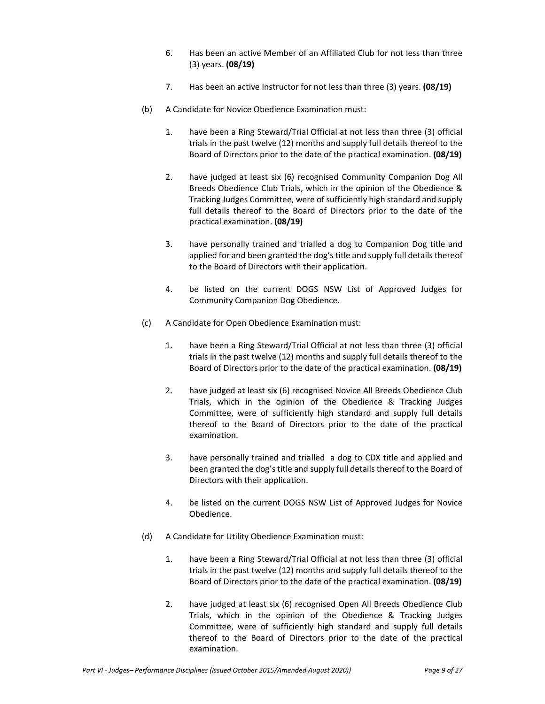- 6. Has been an active Member of an Affiliated Club for not less than three (3) years. **(08/19)**
- 7. Has been an active Instructor for not less than three (3) years. **(08/19)**
- (b) A Candidate for Novice Obedience Examination must:
	- 1. have been a Ring Steward/Trial Official at not less than three (3) official trials in the past twelve (12) months and supply full details thereof to the Board of Directors prior to the date of the practical examination. **(08/19)**
	- 2. have judged at least six (6) recognised Community Companion Dog All Breeds Obedience Club Trials, which in the opinion of the Obedience & Tracking Judges Committee, were of sufficiently high standard and supply full details thereof to the Board of Directors prior to the date of the practical examination. **(08/19)**
	- 3. have personally trained and trialled a dog to Companion Dog title and applied for and been granted the dog's title and supply full details thereof to the Board of Directors with their application.
	- 4. be listed on the current DOGS NSW List of Approved Judges for Community Companion Dog Obedience.
- (c) A Candidate for Open Obedience Examination must:
	- 1. have been a Ring Steward/Trial Official at not less than three (3) official trials in the past twelve (12) months and supply full details thereof to the Board of Directors prior to the date of the practical examination. **(08/19)**
	- 2. have judged at least six (6) recognised Novice All Breeds Obedience Club Trials, which in the opinion of the Obedience & Tracking Judges Committee, were of sufficiently high standard and supply full details thereof to the Board of Directors prior to the date of the practical examination.
	- 3. have personally trained and trialled a dog to CDX title and applied and been granted the dog's title and supply full details thereof to the Board of Directors with their application.
	- 4. be listed on the current DOGS NSW List of Approved Judges for Novice Obedience.
- (d) A Candidate for Utility Obedience Examination must:
	- 1. have been a Ring Steward/Trial Official at not less than three (3) official trials in the past twelve (12) months and supply full details thereof to the Board of Directors prior to the date of the practical examination. **(08/19)**
	- 2. have judged at least six (6) recognised Open All Breeds Obedience Club Trials, which in the opinion of the Obedience & Tracking Judges Committee, were of sufficiently high standard and supply full details thereof to the Board of Directors prior to the date of the practical examination.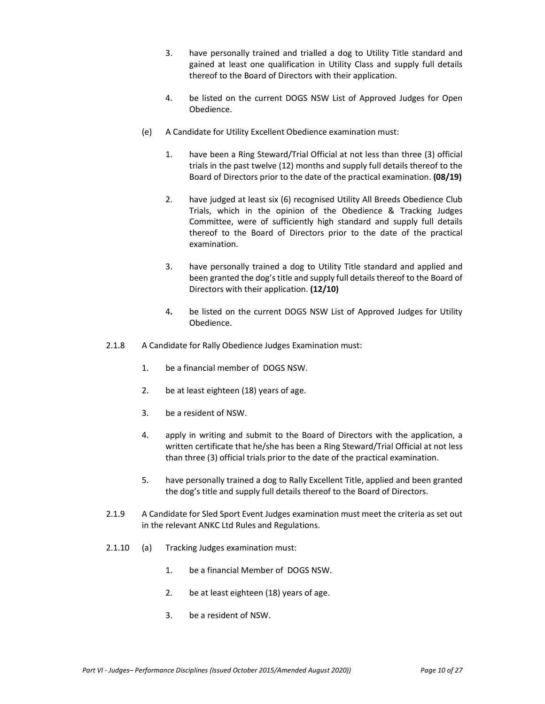- 3. have personally trained and trialled a dog to Utility Title standard and gained at least one qualification in Utility Class and supply full details thereof to the Board of Directors with their application.
- 4. be listed on the current DOGS NSW List of Approved Judges for Open Obedience.
- (e) A Candidate for Utility Excellent Obedience examination must:
	- 1. have been a Ring Steward/Trial Official at not less than three (3) official trials in the past twelve (12) months and supply full details thereof to the Board of Directors prior to the date of the practical examination. **(08/19)**
	- 2. have judged at least six (6) recognised Utility All Breeds Obedience Club Trials, which in the opinion of the Obedience & Tracking Judges Committee, were of sufficiently high standard and supply full details thereof to the Board of Directors prior to the date of the practical examination.
	- 3. have personally trained a dog to Utility Title standard and applied and been granted the dog's title and supply full details thereof to the Board of Directors with their application. **(12/10)**
	- 4**.** be listed on the current DOGS NSW List of Approved Judges for Utility Obedience.
- 2.1.8 A Candidate for Rally Obedience Judges Examination must:
	- 1. be a financial member of DOGS NSW.
	- 2. be at least eighteen (18) years of age.
	- 3. be a resident of NSW.
	- 4. apply in writing and submit to the Board of Directors with the application, a written certificate that he/she has been a Ring Steward/Trial Official at not less than three (3) official trials prior to the date of the practical examination.
	- 5. have personally trained a dog to Rally Excellent Title, applied and been granted the dog's title and supply full details thereof to the Board of Directors.
- 2.1.9 A Candidate for Sled Sport Event Judges examination must meet the criteria as set out in the relevant ANKC Ltd Rules and Regulations.
- 2.1.10 (a) Tracking Judges examination must:
	- 1. be a financial Member of DOGS NSW.
	- 2. be at least eighteen (18) years of age.
	- 3. be a resident of NSW.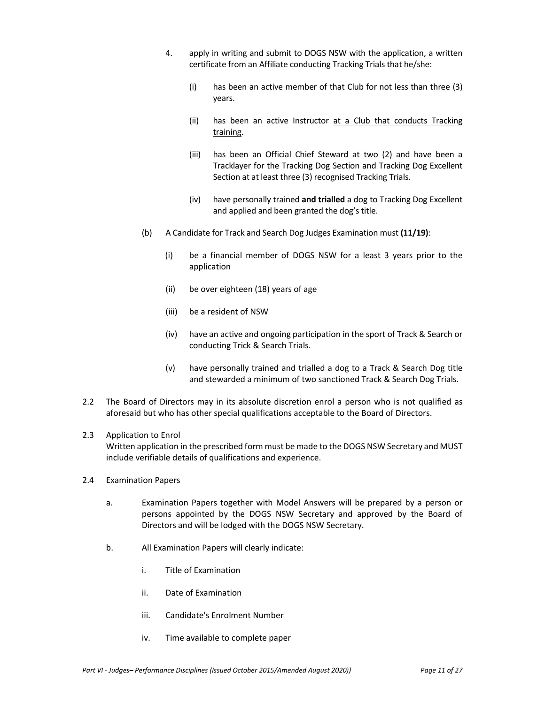- 4. apply in writing and submit to DOGS NSW with the application, a written certificate from an Affiliate conducting Tracking Trials that he/she:
	- (i) has been an active member of that Club for not less than three (3) years.
	- (ii) has been an active Instructor at a Club that conducts Tracking training.
	- (iii) has been an Official Chief Steward at two (2) and have been a Tracklayer for the Tracking Dog Section and Tracking Dog Excellent Section at at least three (3) recognised Tracking Trials.
	- (iv) have personally trained **and trialled** a dog to Tracking Dog Excellent and applied and been granted the dog's title.
- (b) A Candidate for Track and Search Dog Judges Examination must **(11/19)**:
	- (i) be a financial member of DOGS NSW for a least 3 years prior to the application
	- (ii) be over eighteen (18) years of age
	- (iii) be a resident of NSW
	- (iv) have an active and ongoing participation in the sport of Track & Search or conducting Trick & Search Trials.
	- (v) have personally trained and trialled a dog to a Track & Search Dog title and stewarded a minimum of two sanctioned Track & Search Dog Trials.
- 2.2 The Board of Directors may in its absolute discretion enrol a person who is not qualified as aforesaid but who has other special qualifications acceptable to the Board of Directors.

#### 2.3 Application to Enrol

Written application in the prescribed form must be made to the DOGS NSW Secretary and MUST include verifiable details of qualifications and experience.

- 2.4 Examination Papers
	- a. Examination Papers together with Model Answers will be prepared by a person or persons appointed by the DOGS NSW Secretary and approved by the Board of Directors and will be lodged with the DOGS NSW Secretary.
	- b. All Examination Papers will clearly indicate:
		- i. Title of Examination
		- ii. Date of Examination
		- iii. Candidate's Enrolment Number
		- iv. Time available to complete paper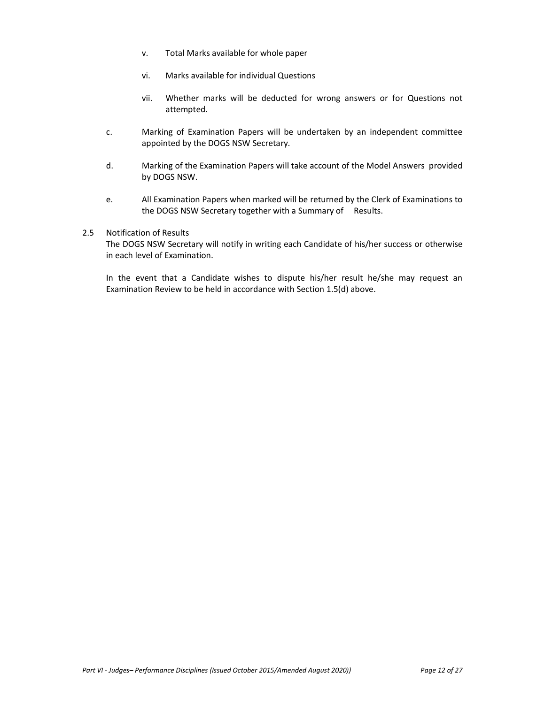- v. Total Marks available for whole paper
- vi. Marks available for individual Questions
- vii. Whether marks will be deducted for wrong answers or for Questions not attempted.
- c. Marking of Examination Papers will be undertaken by an independent committee appointed by the DOGS NSW Secretary.
- d. Marking of the Examination Papers will take account of the Model Answers provided by DOGS NSW.
- e. All Examination Papers when marked will be returned by the Clerk of Examinations to the DOGS NSW Secretary together with a Summary of Results.

#### 2.5 Notification of Results

The DOGS NSW Secretary will notify in writing each Candidate of his/her success or otherwise in each level of Examination.

In the event that a Candidate wishes to dispute his/her result he/she may request an Examination Review to be held in accordance with Section 1.5(d) above.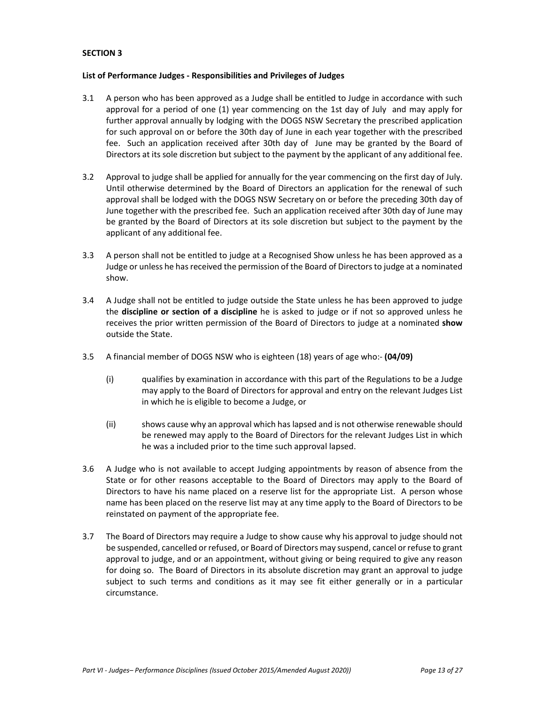#### **List of Performance Judges - Responsibilities and Privileges of Judges**

- 3.1 A person who has been approved as a Judge shall be entitled to Judge in accordance with such approval for a period of one (1) year commencing on the 1st day of July and may apply for further approval annually by lodging with the DOGS NSW Secretary the prescribed application for such approval on or before the 30th day of June in each year together with the prescribed fee. Such an application received after 30th day of June may be granted by the Board of Directors at its sole discretion but subject to the payment by the applicant of any additional fee.
- 3.2 Approval to judge shall be applied for annually for the year commencing on the first day of July. Until otherwise determined by the Board of Directors an application for the renewal of such approval shall be lodged with the DOGS NSW Secretary on or before the preceding 30th day of June together with the prescribed fee. Such an application received after 30th day of June may be granted by the Board of Directors at its sole discretion but subject to the payment by the applicant of any additional fee.
- 3.3 A person shall not be entitled to judge at a Recognised Show unless he has been approved as a Judge or unless he has received the permission of the Board of Directors to judge at a nominated show.
- 3.4 A Judge shall not be entitled to judge outside the State unless he has been approved to judge the **discipline or section of a discipline** he is asked to judge or if not so approved unless he receives the prior written permission of the Board of Directors to judge at a nominated **show** outside the State.
- 3.5 A financial member of DOGS NSW who is eighteen (18) years of age who:- **(04/09)**
	- (i) qualifies by examination in accordance with this part of the Regulations to be a Judge may apply to the Board of Directors for approval and entry on the relevant Judges List in which he is eligible to become a Judge, or
	- (ii) shows cause why an approval which has lapsed and is not otherwise renewable should be renewed may apply to the Board of Directors for the relevant Judges List in which he was a included prior to the time such approval lapsed.
- 3.6 A Judge who is not available to accept Judging appointments by reason of absence from the State or for other reasons acceptable to the Board of Directors may apply to the Board of Directors to have his name placed on a reserve list for the appropriate List. A person whose name has been placed on the reserve list may at any time apply to the Board of Directors to be reinstated on payment of the appropriate fee.
- 3.7 The Board of Directors may require a Judge to show cause why his approval to judge should not be suspended, cancelled or refused, or Board of Directors may suspend, cancel or refuse to grant approval to judge, and or an appointment, without giving or being required to give any reason for doing so. The Board of Directors in its absolute discretion may grant an approval to judge subject to such terms and conditions as it may see fit either generally or in a particular circumstance.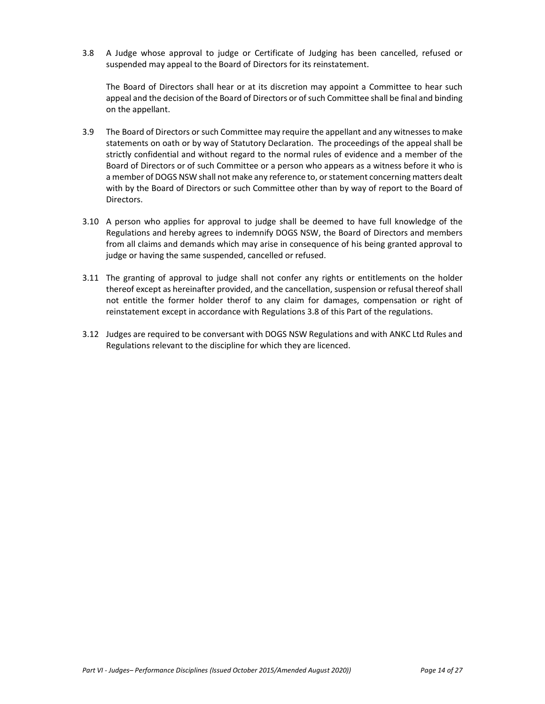3.8 A Judge whose approval to judge or Certificate of Judging has been cancelled, refused or suspended may appeal to the Board of Directors for its reinstatement.

The Board of Directors shall hear or at its discretion may appoint a Committee to hear such appeal and the decision of the Board of Directors or of such Committee shall be final and binding on the appellant.

- 3.9 The Board of Directors or such Committee may require the appellant and any witnesses to make statements on oath or by way of Statutory Declaration. The proceedings of the appeal shall be strictly confidential and without regard to the normal rules of evidence and a member of the Board of Directors or of such Committee or a person who appears as a witness before it who is a member of DOGS NSW shall not make any reference to, or statement concerning matters dealt with by the Board of Directors or such Committee other than by way of report to the Board of Directors.
- 3.10 A person who applies for approval to judge shall be deemed to have full knowledge of the Regulations and hereby agrees to indemnify DOGS NSW, the Board of Directors and members from all claims and demands which may arise in consequence of his being granted approval to judge or having the same suspended, cancelled or refused.
- 3.11 The granting of approval to judge shall not confer any rights or entitlements on the holder thereof except as hereinafter provided, and the cancellation, suspension or refusal thereof shall not entitle the former holder therof to any claim for damages, compensation or right of reinstatement except in accordance with Regulations 3.8 of this Part of the regulations.
- 3.12 Judges are required to be conversant with DOGS NSW Regulations and with ANKC Ltd Rules and Regulations relevant to the discipline for which they are licenced.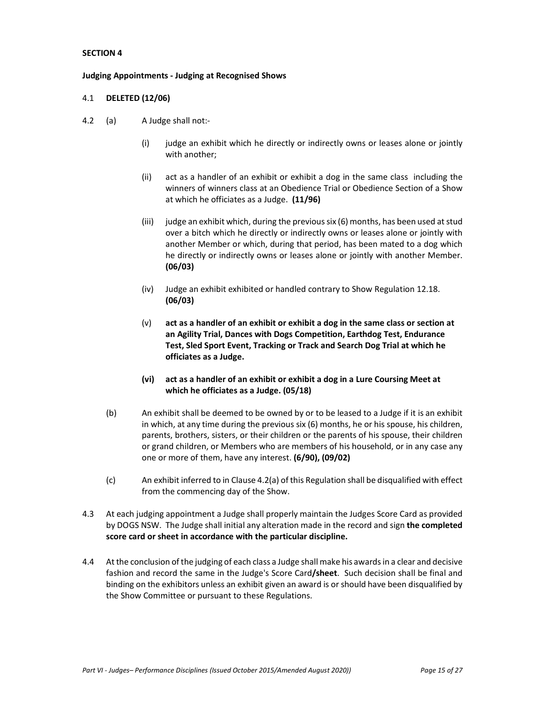#### **Judging Appointments - Judging at Recognised Shows**

### 4.1 **DELETED (12/06)**

- 4.2 (a) A Judge shall not:-
	- $(i)$  judge an exhibit which he directly or indirectly owns or leases alone or jointly with another;
	- (ii) act as a handler of an exhibit or exhibit a dog in the same class including the winners of winners class at an Obedience Trial or Obedience Section of a Show at which he officiates as a Judge. **(11/96)**
	- (iii) judge an exhibit which, during the previous six  $(6)$  months, has been used at stud over a bitch which he directly or indirectly owns or leases alone or jointly with another Member or which, during that period, has been mated to a dog which he directly or indirectly owns or leases alone or jointly with another Member. **(06/03)**
	- (iv) Judge an exhibit exhibited or handled contrary to Show Regulation 12.18. **(06/03)**
	- (v) **act as a handler of an exhibit or exhibit a dog in the same class or section at an Agility Trial, Dances with Dogs Competition, Earthdog Test, Endurance Test, Sled Sport Event, Tracking or Track and Search Dog Trial at which he officiates as a Judge.**
	- **(vi) act as a handler of an exhibit or exhibit a dog in a Lure Coursing Meet at which he officiates as a Judge. (05/18)**
	- (b) An exhibit shall be deemed to be owned by or to be leased to a Judge if it is an exhibit in which, at any time during the previous six (6) months, he or his spouse, his children, parents, brothers, sisters, or their children or the parents of his spouse, their children or grand children, or Members who are members of his household, or in any case any one or more of them, have any interest. **(6/90), (09/02)**
	- (c) An exhibit inferred to in Clause 4.2(a) of this Regulation shall be disqualified with effect from the commencing day of the Show.
- 4.3 At each judging appointment a Judge shall properly maintain the Judges Score Card as provided by DOGS NSW. The Judge shall initial any alteration made in the record and sign **the completed score card or sheet in accordance with the particular discipline.**
- 4.4 At the conclusion of the judging of each class a Judge shall make his awards in a clear and decisive fashion and record the same in the Judge's Score Card**/sheet**. Such decision shall be final and binding on the exhibitors unless an exhibit given an award is or should have been disqualified by the Show Committee or pursuant to these Regulations.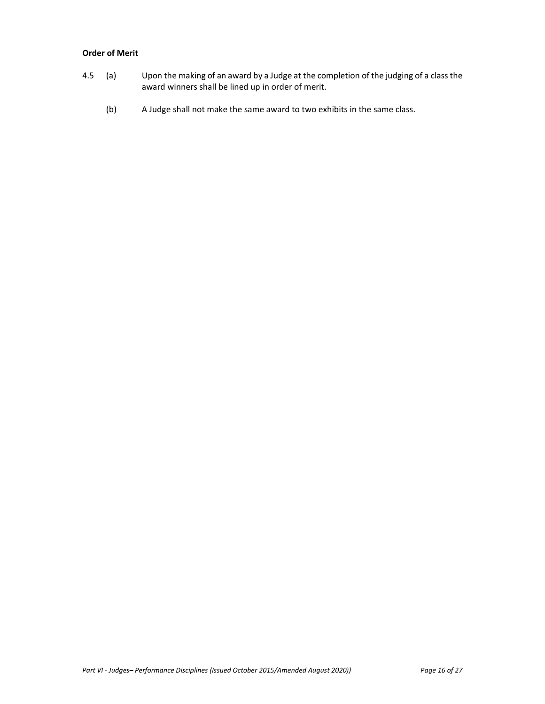## **Order of Merit**

- 4.5 (a) Upon the making of an award by a Judge at the completion of the judging of a class the award winners shall be lined up in order of merit.
	- (b) A Judge shall not make the same award to two exhibits in the same class.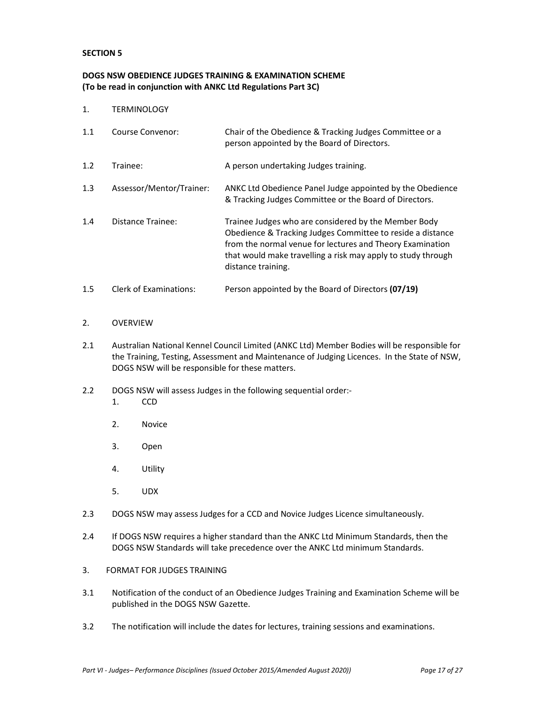## **DOGS NSW OBEDIENCE JUDGES TRAINING & EXAMINATION SCHEME (To be read in conjunction with ANKC Ltd Regulations Part 3C)**

1. TERMINOLOGY

| 1.1 | Course Convenor:              | Chair of the Obedience & Tracking Judges Committee or a<br>person appointed by the Board of Directors.                                                                                                                                                                |
|-----|-------------------------------|-----------------------------------------------------------------------------------------------------------------------------------------------------------------------------------------------------------------------------------------------------------------------|
| 1.2 | Trainee:                      | A person undertaking Judges training.                                                                                                                                                                                                                                 |
| 1.3 | Assessor/Mentor/Trainer:      | ANKC Ltd Obedience Panel Judge appointed by the Obedience<br>& Tracking Judges Committee or the Board of Directors.                                                                                                                                                   |
| 1.4 | Distance Trainee:             | Trainee Judges who are considered by the Member Body<br>Obedience & Tracking Judges Committee to reside a distance<br>from the normal venue for lectures and Theory Examination<br>that would make travelling a risk may apply to study through<br>distance training. |
| 1.5 | <b>Clerk of Examinations:</b> | Person appointed by the Board of Directors (07/19)                                                                                                                                                                                                                    |

## 2. OVERVIEW

- 2.1 Australian National Kennel Council Limited (ANKC Ltd) Member Bodies will be responsible for the Training, Testing, Assessment and Maintenance of Judging Licences. In the State of NSW, DOGS NSW will be responsible for these matters.
- 2.2 DOGS NSW will assess Judges in the following sequential order:-
	- 1. CCD
	- 2. Novice
	- 3. Open
	- 4. Utility
	- 5. UDX
- 2.3 DOGS NSW may assess Judges for a CCD and Novice Judges Licence simultaneously.
- 2.4 If DOGS NSW requires a higher standard than the ANKC Ltd Minimum Standards, then the DOGS NSW Standards will take precedence over the ANKC Ltd minimum Standards.
- 3. FORMAT FOR JUDGES TRAINING
- 3.1 Notification of the conduct of an Obedience Judges Training and Examination Scheme will be published in the DOGS NSW Gazette.
- 3.2 The notification will include the dates for lectures, training sessions and examinations.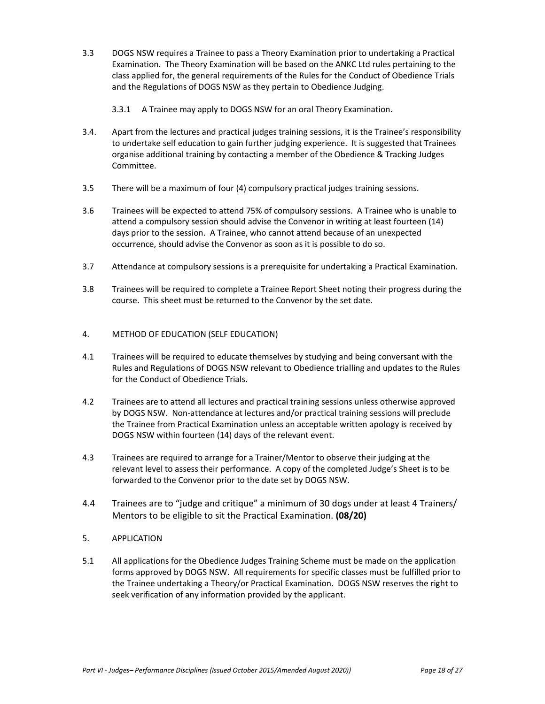- 3.3 DOGS NSW requires a Trainee to pass a Theory Examination prior to undertaking a Practical Examination. The Theory Examination will be based on the ANKC Ltd rules pertaining to the class applied for, the general requirements of the Rules for the Conduct of Obedience Trials and the Regulations of DOGS NSW as they pertain to Obedience Judging.
	- 3.3.1 A Trainee may apply to DOGS NSW for an oral Theory Examination.
- 3.4. Apart from the lectures and practical judges training sessions, it is the Trainee's responsibility to undertake self education to gain further judging experience. It is suggested that Trainees organise additional training by contacting a member of the Obedience & Tracking Judges Committee.
- 3.5 There will be a maximum of four (4) compulsory practical judges training sessions.
- 3.6 Trainees will be expected to attend 75% of compulsory sessions. A Trainee who is unable to attend a compulsory session should advise the Convenor in writing at least fourteen (14) days prior to the session. A Trainee, who cannot attend because of an unexpected occurrence, should advise the Convenor as soon as it is possible to do so.
- 3.7 Attendance at compulsory sessions is a prerequisite for undertaking a Practical Examination.
- 3.8 Trainees will be required to complete a Trainee Report Sheet noting their progress during the course. This sheet must be returned to the Convenor by the set date.
- 4. METHOD OF EDUCATION (SELF EDUCATION)
- 4.1 Trainees will be required to educate themselves by studying and being conversant with the Rules and Regulations of DOGS NSW relevant to Obedience trialling and updates to the Rules for the Conduct of Obedience Trials.
- 4.2 Trainees are to attend all lectures and practical training sessions unless otherwise approved by DOGS NSW. Non-attendance at lectures and/or practical training sessions will preclude the Trainee from Practical Examination unless an acceptable written apology is received by DOGS NSW within fourteen (14) days of the relevant event.
- 4.3 Trainees are required to arrange for a Trainer/Mentor to observe their judging at the relevant level to assess their performance. A copy of the completed Judge's Sheet is to be forwarded to the Convenor prior to the date set by DOGS NSW.
- 4.4 Trainees are to "judge and critique" a minimum of 30 dogs under at least 4 Trainers/ Mentors to be eligible to sit the Practical Examination. **(08/20)**
- 5. APPLICATION
- 5.1 All applications for the Obedience Judges Training Scheme must be made on the application forms approved by DOGS NSW. All requirements for specific classes must be fulfilled prior to the Trainee undertaking a Theory/or Practical Examination. DOGS NSW reserves the right to seek verification of any information provided by the applicant.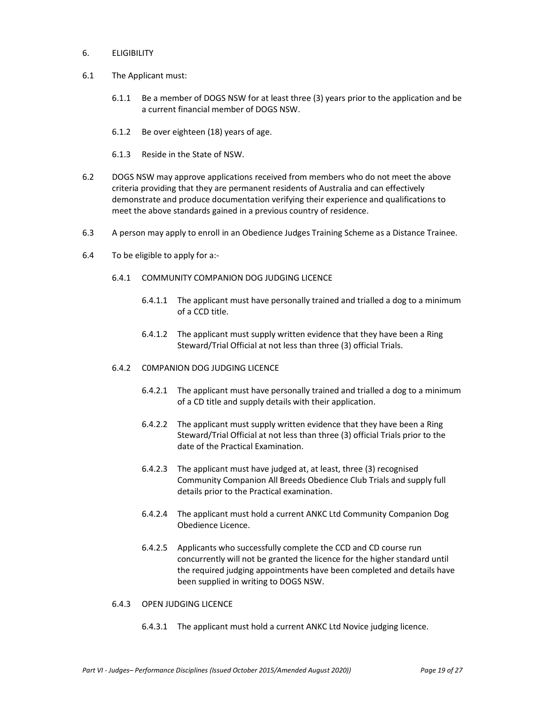- 6. ELIGIBILITY
- 6.1 The Applicant must:
	- 6.1.1 Be a member of DOGS NSW for at least three (3) years prior to the application and be a current financial member of DOGS NSW.
	- 6.1.2 Be over eighteen (18) years of age.
	- 6.1.3 Reside in the State of NSW.
- 6.2 DOGS NSW may approve applications received from members who do not meet the above criteria providing that they are permanent residents of Australia and can effectively demonstrate and produce documentation verifying their experience and qualifications to meet the above standards gained in a previous country of residence.
- 6.3 A person may apply to enroll in an Obedience Judges Training Scheme as a Distance Trainee.
- 6.4 To be eligible to apply for a:-
	- 6.4.1 COMMUNITY COMPANION DOG JUDGING LICENCE
		- 6.4.1.1 The applicant must have personally trained and trialled a dog to a minimum of a CCD title.
		- 6.4.1.2 The applicant must supply written evidence that they have been a Ring Steward/Trial Official at not less than three (3) official Trials.
	- 6.4.2 C0MPANION DOG JUDGING LICENCE
		- 6.4.2.1 The applicant must have personally trained and trialled a dog to a minimum of a CD title and supply details with their application.
		- 6.4.2.2 The applicant must supply written evidence that they have been a Ring Steward/Trial Official at not less than three (3) official Trials prior to the date of the Practical Examination.
		- 6.4.2.3 The applicant must have judged at, at least, three (3) recognised Community Companion All Breeds Obedience Club Trials and supply full details prior to the Practical examination.
		- 6.4.2.4 The applicant must hold a current ANKC Ltd Community Companion Dog Obedience Licence.
		- 6.4.2.5 Applicants who successfully complete the CCD and CD course run concurrently will not be granted the licence for the higher standard until the required judging appointments have been completed and details have been supplied in writing to DOGS NSW.

### 6.4.3 OPEN JUDGING LICENCE

6.4.3.1 The applicant must hold a current ANKC Ltd Novice judging licence.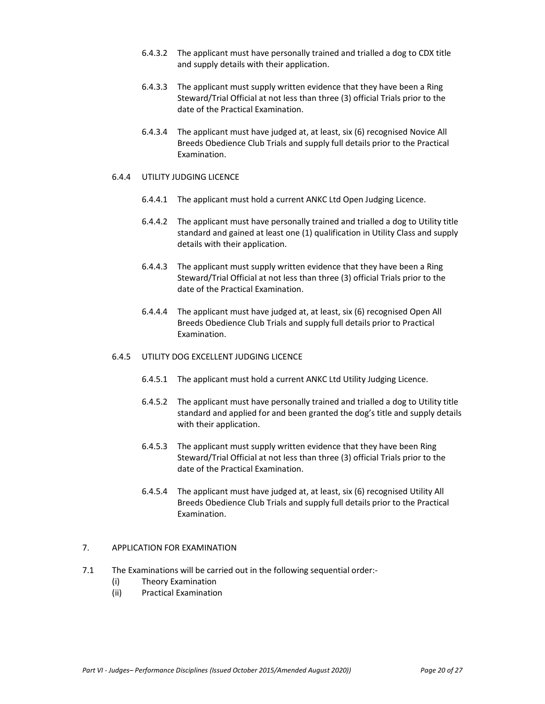- 6.4.3.2 The applicant must have personally trained and trialled a dog to CDX title and supply details with their application.
- 6.4.3.3 The applicant must supply written evidence that they have been a Ring Steward/Trial Official at not less than three (3) official Trials prior to the date of the Practical Examination.
- 6.4.3.4 The applicant must have judged at, at least, six (6) recognised Novice All Breeds Obedience Club Trials and supply full details prior to the Practical Examination.

#### 6.4.4 UTILITY JUDGING LICENCE

- 6.4.4.1 The applicant must hold a current ANKC Ltd Open Judging Licence.
- 6.4.4.2 The applicant must have personally trained and trialled a dog to Utility title standard and gained at least one (1) qualification in Utility Class and supply details with their application.
- 6.4.4.3 The applicant must supply written evidence that they have been a Ring Steward/Trial Official at not less than three (3) official Trials prior to the date of the Practical Examination.
- 6.4.4.4 The applicant must have judged at, at least, six (6) recognised Open All Breeds Obedience Club Trials and supply full details prior to Practical Examination.

### 6.4.5 UTILITY DOG EXCELLENT JUDGING LICENCE

- 6.4.5.1 The applicant must hold a current ANKC Ltd Utility Judging Licence.
- 6.4.5.2 The applicant must have personally trained and trialled a dog to Utility title standard and applied for and been granted the dog's title and supply details with their application.
- 6.4.5.3 The applicant must supply written evidence that they have been Ring Steward/Trial Official at not less than three (3) official Trials prior to the date of the Practical Examination.
- 6.4.5.4 The applicant must have judged at, at least, six (6) recognised Utility All Breeds Obedience Club Trials and supply full details prior to the Practical Examination.

## 7. APPLICATION FOR EXAMINATION

- 7.1 The Examinations will be carried out in the following sequential order:-
	- (i) Theory Examination
	- (ii) Practical Examination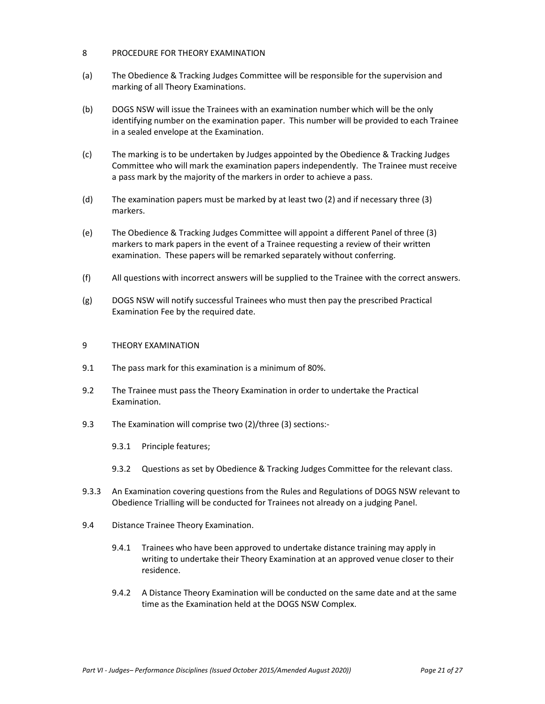#### 8 PROCEDURE FOR THEORY EXAMINATION

- (a) The Obedience & Tracking Judges Committee will be responsible for the supervision and marking of all Theory Examinations.
- (b) DOGS NSW will issue the Trainees with an examination number which will be the only identifying number on the examination paper. This number will be provided to each Trainee in a sealed envelope at the Examination.
- (c) The marking is to be undertaken by Judges appointed by the Obedience & Tracking Judges Committee who will mark the examination papers independently. The Trainee must receive a pass mark by the majority of the markers in order to achieve a pass.
- (d) The examination papers must be marked by at least two (2) and if necessary three (3) markers.
- (e) The Obedience & Tracking Judges Committee will appoint a different Panel of three (3) markers to mark papers in the event of a Trainee requesting a review of their written examination. These papers will be remarked separately without conferring.
- (f) All questions with incorrect answers will be supplied to the Trainee with the correct answers.
- (g) DOGS NSW will notify successful Trainees who must then pay the prescribed Practical Examination Fee by the required date.

#### 9 THEORY EXAMINATION

- 9.1 The pass mark for this examination is a minimum of 80%.
- 9.2 The Trainee must pass the Theory Examination in order to undertake the Practical Examination.
- 9.3 The Examination will comprise two (2)/three (3) sections:-
	- 9.3.1 Principle features;
	- 9.3.2 Questions as set by Obedience & Tracking Judges Committee for the relevant class.
- 9.3.3 An Examination covering questions from the Rules and Regulations of DOGS NSW relevant to Obedience Trialling will be conducted for Trainees not already on a judging Panel.
- 9.4 Distance Trainee Theory Examination.
	- 9.4.1 Trainees who have been approved to undertake distance training may apply in writing to undertake their Theory Examination at an approved venue closer to their residence.
	- 9.4.2 A Distance Theory Examination will be conducted on the same date and at the same time as the Examination held at the DOGS NSW Complex.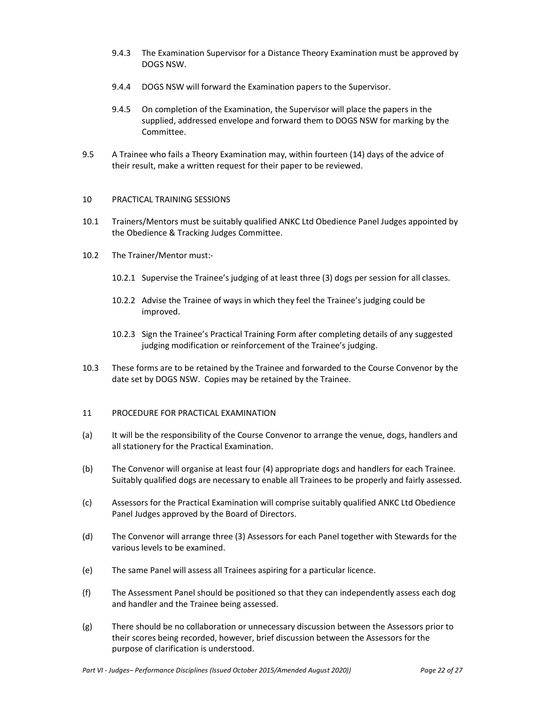- 9.4.3 The Examination Supervisor for a Distance Theory Examination must be approved by DOGS NSW.
- 9.4.4 DOGS NSW will forward the Examination papers to the Supervisor.
- 9.4.5 On completion of the Examination, the Supervisor will place the papers in the supplied, addressed envelope and forward them to DOGS NSW for marking by the Committee.
- 9.5 A Trainee who fails a Theory Examination may, within fourteen (14) days of the advice of their result, make a written request for their paper to be reviewed.

## 10 PRACTICAL TRAINING SESSIONS

- 10.1 Trainers/Mentors must be suitably qualified ANKC Ltd Obedience Panel Judges appointed by the Obedience & Tracking Judges Committee.
- 10.2 The Trainer/Mentor must:-
	- 10.2.1 Supervise the Trainee's judging of at least three (3) dogs per session for all classes.
	- 10.2.2 Advise the Trainee of ways in which they feel the Trainee's judging could be improved.
	- 10.2.3 Sign the Trainee's Practical Training Form after completing details of any suggested judging modification or reinforcement of the Trainee's judging.
- 10.3 These forms are to be retained by the Trainee and forwarded to the Course Convenor by the date set by DOGS NSW. Copies may be retained by the Trainee.

## 11 PROCEDURE FOR PRACTICAL EXAMINATION

- (a) It will be the responsibility of the Course Convenor to arrange the venue, dogs, handlers and all stationery for the Practical Examination.
- (b) The Convenor will organise at least four (4) appropriate dogs and handlers for each Trainee. Suitably qualified dogs are necessary to enable all Trainees to be properly and fairly assessed.
- (c) Assessors for the Practical Examination will comprise suitably qualified ANKC Ltd Obedience Panel Judges approved by the Board of Directors.
- (d) The Convenor will arrange three (3) Assessors for each Panel together with Stewards for the various levels to be examined.
- (e) The same Panel will assess all Trainees aspiring for a particular licence.
- (f) The Assessment Panel should be positioned so that they can independently assess each dog and handler and the Trainee being assessed.
- (g) There should be no collaboration or unnecessary discussion between the Assessors prior to their scores being recorded, however, brief discussion between the Assessors for the purpose of clarification is understood.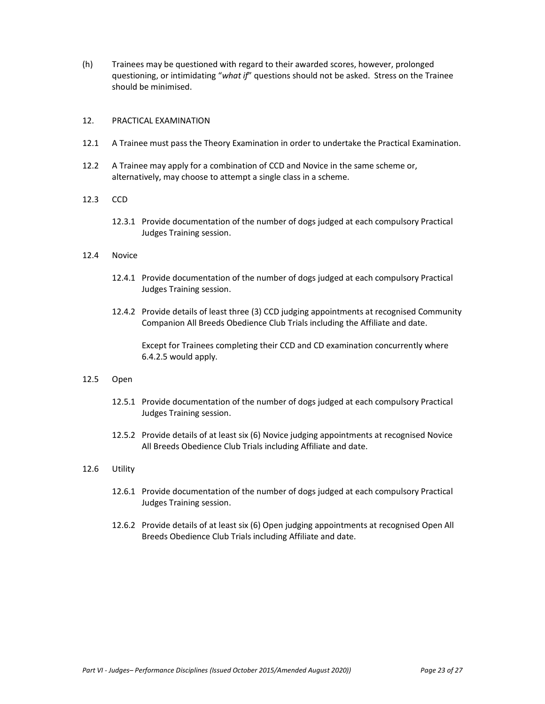(h) Trainees may be questioned with regard to their awarded scores, however, prolonged questioning, or intimidating "*what if*" questions should not be asked. Stress on the Trainee should be minimised.

## 12. PRACTICAL EXAMINATION

- 12.1 A Trainee must pass the Theory Examination in order to undertake the Practical Examination.
- 12.2 A Trainee may apply for a combination of CCD and Novice in the same scheme or, alternatively, may choose to attempt a single class in a scheme.

#### 12.3 CCD

12.3.1 Provide documentation of the number of dogs judged at each compulsory Practical Judges Training session.

#### 12.4 Novice

- 12.4.1 Provide documentation of the number of dogs judged at each compulsory Practical Judges Training session.
- 12.4.2 Provide details of least three (3) CCD judging appointments at recognised Community Companion All Breeds Obedience Club Trials including the Affiliate and date.

Except for Trainees completing their CCD and CD examination concurrently where 6.4.2.5 would apply.

#### 12.5 Open

- 12.5.1 Provide documentation of the number of dogs judged at each compulsory Practical Judges Training session.
- 12.5.2 Provide details of at least six (6) Novice judging appointments at recognised Novice All Breeds Obedience Club Trials including Affiliate and date.

#### 12.6 Utility

- 12.6.1 Provide documentation of the number of dogs judged at each compulsory Practical Judges Training session.
- 12.6.2 Provide details of at least six (6) Open judging appointments at recognised Open All Breeds Obedience Club Trials including Affiliate and date.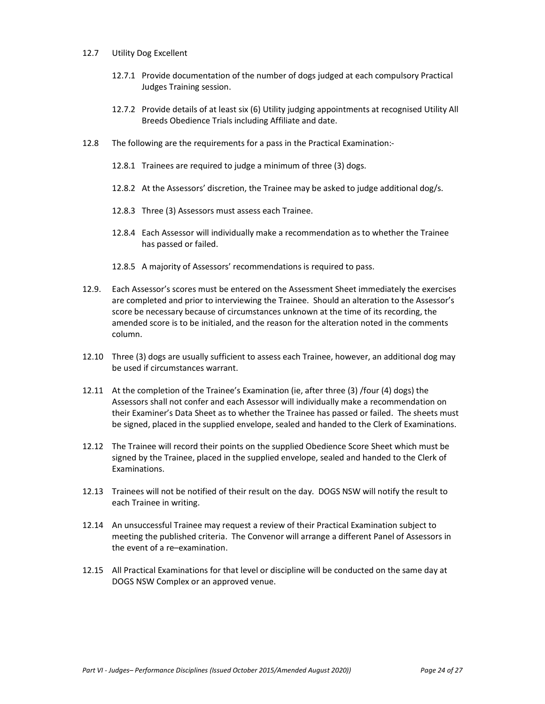#### 12.7 Utility Dog Excellent

- 12.7.1 Provide documentation of the number of dogs judged at each compulsory Practical Judges Training session.
- 12.7.2 Provide details of at least six (6) Utility judging appointments at recognised Utility All Breeds Obedience Trials including Affiliate and date.
- 12.8 The following are the requirements for a pass in the Practical Examination:-
	- 12.8.1 Trainees are required to judge a minimum of three (3) dogs.
	- 12.8.2 At the Assessors' discretion, the Trainee may be asked to judge additional dog/s.
	- 12.8.3 Three (3) Assessors must assess each Trainee.
	- 12.8.4 Each Assessor will individually make a recommendation as to whether the Trainee has passed or failed.
	- 12.8.5 A majority of Assessors' recommendations is required to pass.
- 12.9. Each Assessor's scores must be entered on the Assessment Sheet immediately the exercises are completed and prior to interviewing the Trainee. Should an alteration to the Assessor's score be necessary because of circumstances unknown at the time of its recording, the amended score is to be initialed, and the reason for the alteration noted in the comments column.
- 12.10 Three (3) dogs are usually sufficient to assess each Trainee, however, an additional dog may be used if circumstances warrant.
- 12.11 At the completion of the Trainee's Examination (ie, after three (3) /four (4) dogs) the Assessors shall not confer and each Assessor will individually make a recommendation on their Examiner's Data Sheet as to whether the Trainee has passed or failed. The sheets must be signed, placed in the supplied envelope, sealed and handed to the Clerk of Examinations.
- 12.12 The Trainee will record their points on the supplied Obedience Score Sheet which must be signed by the Trainee, placed in the supplied envelope, sealed and handed to the Clerk of Examinations.
- 12.13 Trainees will not be notified of their result on the day. DOGS NSW will notify the result to each Trainee in writing.
- 12.14 An unsuccessful Trainee may request a review of their Practical Examination subject to meeting the published criteria. The Convenor will arrange a different Panel of Assessors in the event of a re–examination.
- 12.15 All Practical Examinations for that level or discipline will be conducted on the same day at DOGS NSW Complex or an approved venue.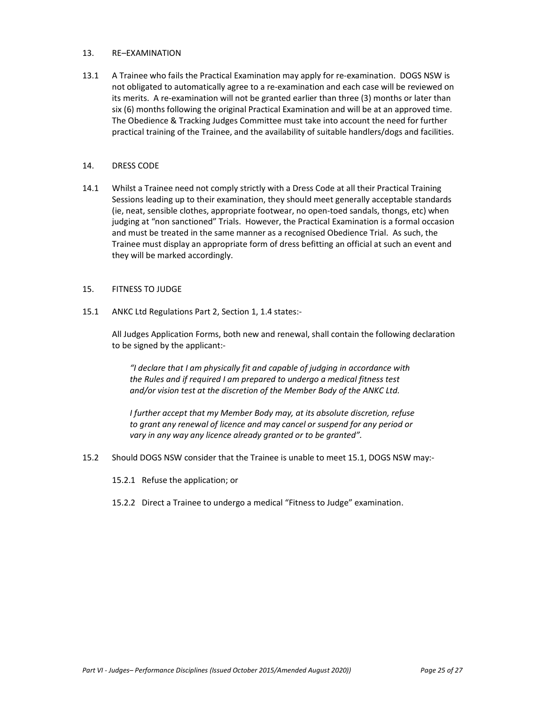#### 13. RE–EXAMINATION

13.1 A Trainee who fails the Practical Examination may apply for re-examination. DOGS NSW is not obligated to automatically agree to a re-examination and each case will be reviewed on its merits. A re-examination will not be granted earlier than three (3) months or later than six (6) months following the original Practical Examination and will be at an approved time. The Obedience & Tracking Judges Committee must take into account the need for further practical training of the Trainee, and the availability of suitable handlers/dogs and facilities.

## 14. DRESS CODE

14.1 Whilst a Trainee need not comply strictly with a Dress Code at all their Practical Training Sessions leading up to their examination, they should meet generally acceptable standards (ie, neat, sensible clothes, appropriate footwear, no open-toed sandals, thongs, etc) when judging at "non sanctioned" Trials. However, the Practical Examination is a formal occasion and must be treated in the same manner as a recognised Obedience Trial. As such, the Trainee must display an appropriate form of dress befitting an official at such an event and they will be marked accordingly.

#### 15. FITNESS TO JUDGE

15.1 ANKC Ltd Regulations Part 2, Section 1, 1.4 states:-

All Judges Application Forms, both new and renewal, shall contain the following declaration to be signed by the applicant:-

*"I declare that I am physically fit and capable of judging in accordance with the Rules and if required I am prepared to undergo a medical fitness test and/or vision test at the discretion of the Member Body of the ANKC Ltd.* 

- *I further accept that my Member Body may, at its absolute discretion, refuse to grant any renewal of licence and may cancel or suspend for any period or vary in any way any licence already granted or to be granted".*
- 15.2 Should DOGS NSW consider that the Trainee is unable to meet 15.1, DOGS NSW may:-
	- 15.2.1 Refuse the application; or
	- 15.2.2 Direct a Trainee to undergo a medical "Fitness to Judge" examination.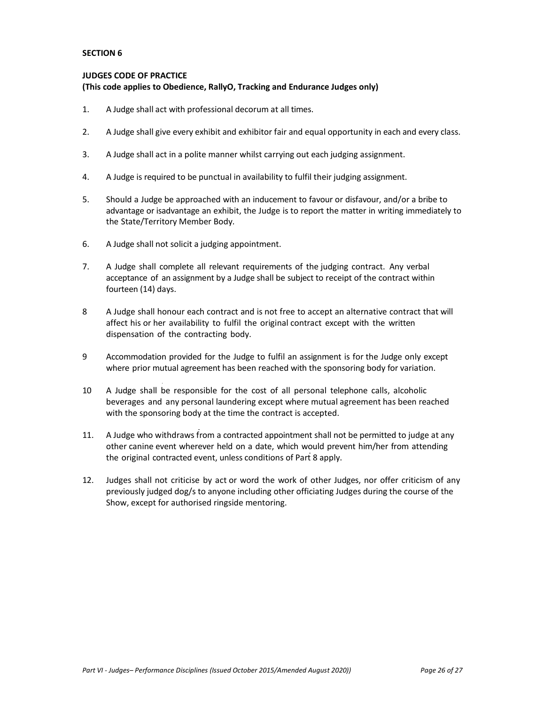## **JUDGES CODE OF PRACTICE (This code applies to Obedience, RallyO, Tracking and Endurance Judges only)**

- 1. A Judge shall act with professional decorum at all times.
- 2. A Judge shall give every exhibit and exhibitor fair and equal opportunity in each and every class.
- 3. A Judge shall act in a polite manner whilst carrying out each judging assignment.
- 4. A Judge is required to be punctual in availability to fulfil their judging assignment.
- 5. Should a Judge be approached with an inducement to favour or disfavour, and/or a bribe to advantage or isadvantage an exhibit, the Judge is to report the matter in writing immediately to the State/Territory Member Body.
- 6. A Judge shall not solicit a judging appointment.
- 7. A Judge shall complete all relevant requirements of the judging contract. Any verbal acceptance of an assignment by a Judge shall be subject to receipt of the contract within fourteen (14) days.
- 8 A Judge shall honour each contract and is not free to accept an alternative contract that will affect his or her availability to fulfil the original contract except with the written dispensation of the contracting body.
- 9 Accommodation provided for the Judge to fulfil an assignment is for the Judge only except where prior mutual agreement has been reached with the sponsoring body for variation.
- 10 A Judge shall be responsible for the cost of all personal telephone calls, alcoholic beverages and any personal laundering except where mutual agreement has been reached with the sponsoring body at the time the contract is accepted.
- 11. A Judge who withdraws from a contracted appointment shall not be permitted to judge at any other canine event wherever held on a date, which would prevent him/her from attending the original contracted event, unless conditions of Part 8 apply.
- 12. Judges shall not criticise by act or word the work of other Judges, nor offer criticism of any previously judged dog/s to anyone including other officiating Judges during the course of the Show, except for authorised ringside mentoring.